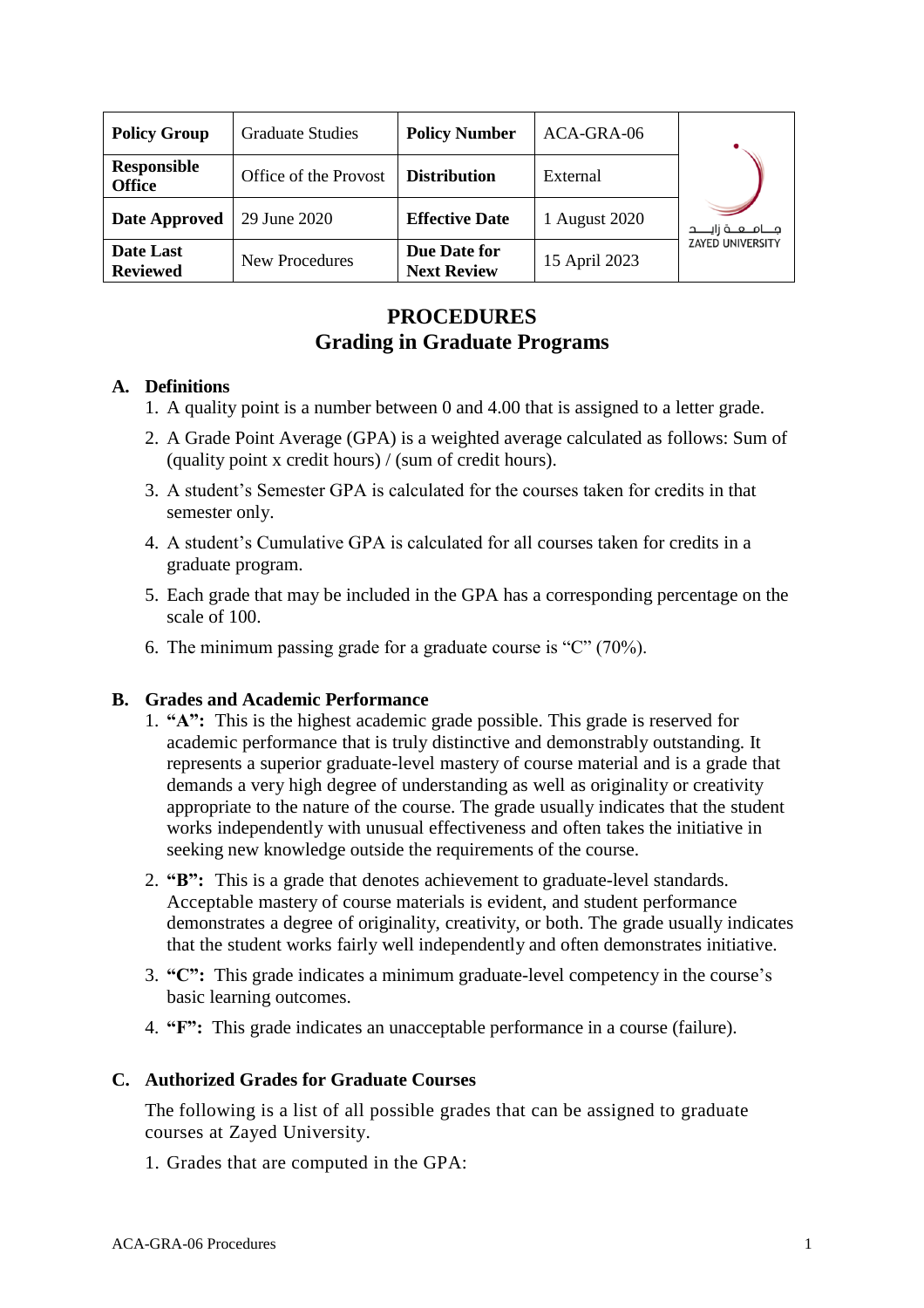| <b>Policy Group</b>                 | <b>Graduate Studies</b> | <b>Policy Number</b>               | ACA-GRA-06    |                          |
|-------------------------------------|-------------------------|------------------------------------|---------------|--------------------------|
| <b>Responsible</b><br><b>Office</b> | Office of the Provost   | <b>Distribution</b>                | External      |                          |
| Date Approved                       | 29 June 2020            | <b>Effective Date</b>              | 1 August 2020 | مــــامـــــه زايــــــد |
| Date Last<br><b>Reviewed</b>        | New Procedures          | Due Date for<br><b>Next Review</b> | 15 April 2023 | <b>ZAYED UNIVERSITY</b>  |

# **PROCEDURES Grading in Graduate Programs**

## **A. Definitions**

- 1. A quality point is a number between 0 and 4.00 that is assigned to a letter grade.
- 2. A Grade Point Average (GPA) is a weighted average calculated as follows: Sum of (quality point x credit hours) / (sum of credit hours).
- 3. A student's Semester GPA is calculated for the courses taken for credits in that semester only.
- 4. A student's Cumulative GPA is calculated for all courses taken for credits in a graduate program.
- 5. Each grade that may be included in the GPA has a corresponding percentage on the scale of 100.
- 6. The minimum passing grade for a graduate course is "C" (70%).

## **B. Grades and Academic Performance**

- 1. **"A":** This is the highest academic grade possible. This grade is reserved for academic performance that is truly distinctive and demonstrably outstanding. It represents a superior graduate-level mastery of course material and is a grade that demands a very high degree of understanding as well as originality or creativity appropriate to the nature of the course. The grade usually indicates that the student works independently with unusual effectiveness and often takes the initiative in seeking new knowledge outside the requirements of the course.
- 2. **"B":** This is a grade that denotes achievement to graduate-level standards. Acceptable mastery of course materials is evident, and student performance demonstrates a degree of originality, creativity, or both. The grade usually indicates that the student works fairly well independently and often demonstrates initiative.
- 3. **"C":** This grade indicates a minimum graduate-level competency in the course's basic learning outcomes.
- 4. **"F":** This grade indicates an unacceptable performance in a course (failure).

### **C. Authorized Grades for Graduate Courses**

The following is a list of all possible grades that can be assigned to graduate courses at Zayed University.

1. Grades that are computed in the GPA: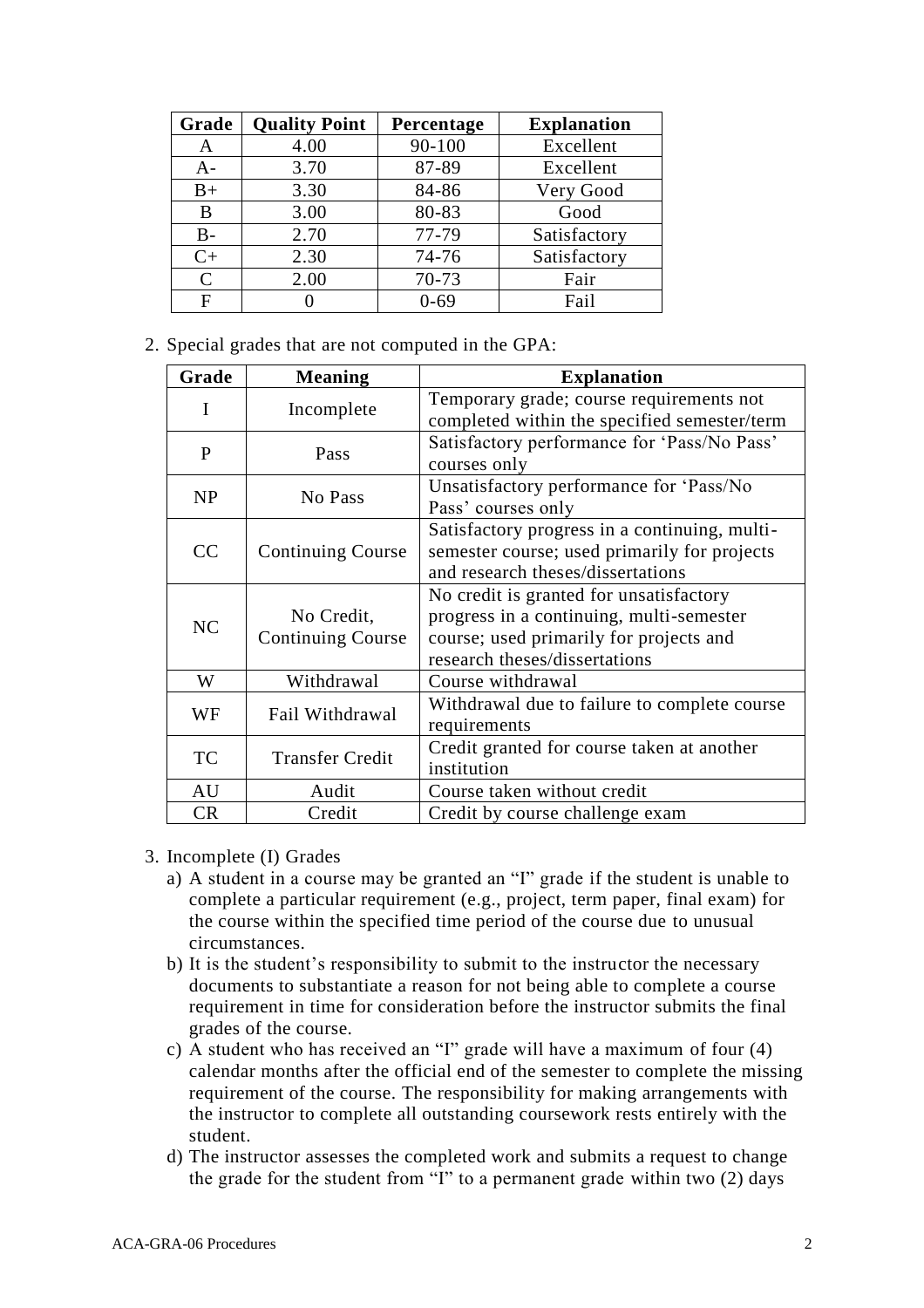| Grade         | <b>Quality Point</b> | Percentage | <b>Explanation</b> |
|---------------|----------------------|------------|--------------------|
| A             | 4.00                 | 90-100     | Excellent          |
| $A-$          | 3.70                 | 87-89      | Excellent          |
| $B+$          | 3.30                 | 84-86      | Very Good          |
| B             | 3.00                 | 80-83      | Good               |
| $B -$         | 2.70                 | 77-79      | Satisfactory       |
| $C+$          | 2.30                 | 74-76      | Satisfactory       |
| $\mathcal{C}$ | 2.00                 | 70-73      | Fair               |
| F             |                      | $0 - 69$   | Fail               |

2. Special grades that are not computed in the GPA:

| Grade     | <b>Meaning</b>                         | <b>Explanation</b>                                                                                                                                              |  |
|-----------|----------------------------------------|-----------------------------------------------------------------------------------------------------------------------------------------------------------------|--|
| I         | Incomplete                             | Temporary grade; course requirements not<br>completed within the specified semester/term                                                                        |  |
| P         | Pass                                   | Satisfactory performance for 'Pass/No Pass'<br>courses only                                                                                                     |  |
| <b>NP</b> | No Pass                                | Unsatisfactory performance for 'Pass/No<br>Pass' courses only                                                                                                   |  |
| CC        | <b>Continuing Course</b>               | Satisfactory progress in a continuing, multi-<br>semester course; used primarily for projects<br>and research theses/dissertations                              |  |
| NC        | No Credit,<br><b>Continuing Course</b> | No credit is granted for unsatisfactory<br>progress in a continuing, multi-semester<br>course; used primarily for projects and<br>research theses/dissertations |  |
| W         | Withdrawal                             | Course withdrawal                                                                                                                                               |  |
| WF        | Fail Withdrawal                        | Withdrawal due to failure to complete course<br>requirements                                                                                                    |  |
| <b>TC</b> | <b>Transfer Credit</b>                 | Credit granted for course taken at another<br>institution                                                                                                       |  |
| AU        | Audit                                  | Course taken without credit                                                                                                                                     |  |
| <b>CR</b> | Credit                                 | Credit by course challenge exam                                                                                                                                 |  |

### 3. Incomplete (I) Grades

- a) A student in a course may be granted an "I" grade if the student is unable to complete a particular requirement (e.g., project, term paper, final exam) for the course within the specified time period of the course due to unusual circumstances.
- b) It is the student's responsibility to submit to the instructor the necessary documents to substantiate a reason for not being able to complete a course requirement in time for consideration before the instructor submits the final grades of the course.
- c) A student who has received an "I" grade will have a maximum of four (4) calendar months after the official end of the semester to complete the missing requirement of the course. The responsibility for making arrangements with the instructor to complete all outstanding coursework rests entirely with the student.
- d) The instructor assesses the completed work and submits a request to change the grade for the student from "I" to a permanent grade within two (2) days